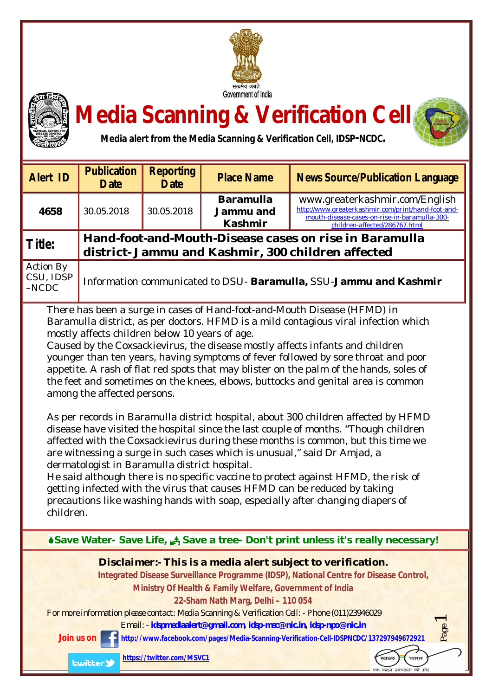



## **Media Scanning & Verification Cell**



| <b>Alert ID</b>                                                                                                                                                                                                                                                                                                                                                                                                                                                                                                                                                                                                                                                                                                                                                                                                                                                                                                                                                                                                                                                                                                                                                                                                                                                      | <b>Publication</b><br><b>Date</b>                                                                            | <b>Reporting</b><br><b>Date</b> | <b>Place Name</b>                               | <b>News Source/Publication Language</b>                                                                                                                                |
|----------------------------------------------------------------------------------------------------------------------------------------------------------------------------------------------------------------------------------------------------------------------------------------------------------------------------------------------------------------------------------------------------------------------------------------------------------------------------------------------------------------------------------------------------------------------------------------------------------------------------------------------------------------------------------------------------------------------------------------------------------------------------------------------------------------------------------------------------------------------------------------------------------------------------------------------------------------------------------------------------------------------------------------------------------------------------------------------------------------------------------------------------------------------------------------------------------------------------------------------------------------------|--------------------------------------------------------------------------------------------------------------|---------------------------------|-------------------------------------------------|------------------------------------------------------------------------------------------------------------------------------------------------------------------------|
| 4658                                                                                                                                                                                                                                                                                                                                                                                                                                                                                                                                                                                                                                                                                                                                                                                                                                                                                                                                                                                                                                                                                                                                                                                                                                                                 | 30.05.2018                                                                                                   | 30.05.2018                      | <b>Baramulla</b><br>Jammu and<br><b>Kashmir</b> | www.greaterkashmir.com/English<br>http://www.greaterkashmir.com/print/hand-foot-and-<br>mouth-disease-cases-on-rise-in-baramulla-300-<br>children-affected/286767.html |
| <b>Title:</b>                                                                                                                                                                                                                                                                                                                                                                                                                                                                                                                                                                                                                                                                                                                                                                                                                                                                                                                                                                                                                                                                                                                                                                                                                                                        | Hand-foot-and-Mouth-Disease cases on rise in Baramulla<br>district- Jammu and Kashmir, 300 children affected |                                 |                                                 |                                                                                                                                                                        |
| <b>Action By</b><br>CSU, IDSP<br>$-NCDC$                                                                                                                                                                                                                                                                                                                                                                                                                                                                                                                                                                                                                                                                                                                                                                                                                                                                                                                                                                                                                                                                                                                                                                                                                             | Information communicated to DSU- Baramulla, SSU-Jammu and Kashmir                                            |                                 |                                                 |                                                                                                                                                                        |
| There has been a surge in cases of Hand-foot-and-Mouth Disease (HFMD) in<br>Baramulla district, as per doctors. HFMD is a mild contagious viral infection which<br>mostly affects children below 10 years of age.<br>Caused by the Coxsackievirus, the disease mostly affects infants and children<br>younger than ten years, having symptoms of fever followed by sore throat and poor<br>appetite. A rash of flat red spots that may blister on the palm of the hands, soles of<br>the feet and sometimes on the knees, elbows, buttocks and genital area is common<br>among the affected persons.<br>As per records in Baramulla district hospital, about 300 children affected by HFMD<br>disease have visited the hospital since the last couple of months. "Though children<br>affected with the Coxsackievirus during these months is common, but this time we<br>are witnessing a surge in such cases which is unusual," said Dr Amjad, a<br>dermatologist in Baramulla district hospital.<br>He said although there is no specific vaccine to protect against HFMD, the risk of<br>getting infected with the virus that causes HFMD can be reduced by taking<br>precautions like washing hands with soap, especially after changing diapers of<br>children. |                                                                                                              |                                 |                                                 |                                                                                                                                                                        |
| Save Water-Save Life, A Save a tree-Don't print unless it's really necessary!                                                                                                                                                                                                                                                                                                                                                                                                                                                                                                                                                                                                                                                                                                                                                                                                                                                                                                                                                                                                                                                                                                                                                                                        |                                                                                                              |                                 |                                                 |                                                                                                                                                                        |
| Disclaimer:- This is a media alert subject to verification.<br>Integrated Disease Surveillance Programme (IDSP), National Centre for Disease Control,<br>Ministry Of Health & Family Welfare, Government of India<br>22-Sham Nath Marg, Delhi - 110 054<br>For more information please contact: Media Scanning & Verification Cell: - Phone (011)23946029<br>Email: - idspmediaalert@qmail.com, idsp-msc@nic.in, idsp-npo@nic.in<br>Page<br>http://www.facebook.com/pages/Media-Scanning-Verification-Cell-IDSPNCDC/137297949672921<br>Join us on<br>https://twitter.com/MSVC1<br>भारत<br>वच्छ<br><b>Lwitter</b><br>एक कदम स्वच्छता की ओर                                                                                                                                                                                                                                                                                                                                                                                                                                                                                                                                                                                                                            |                                                                                                              |                                 |                                                 |                                                                                                                                                                        |